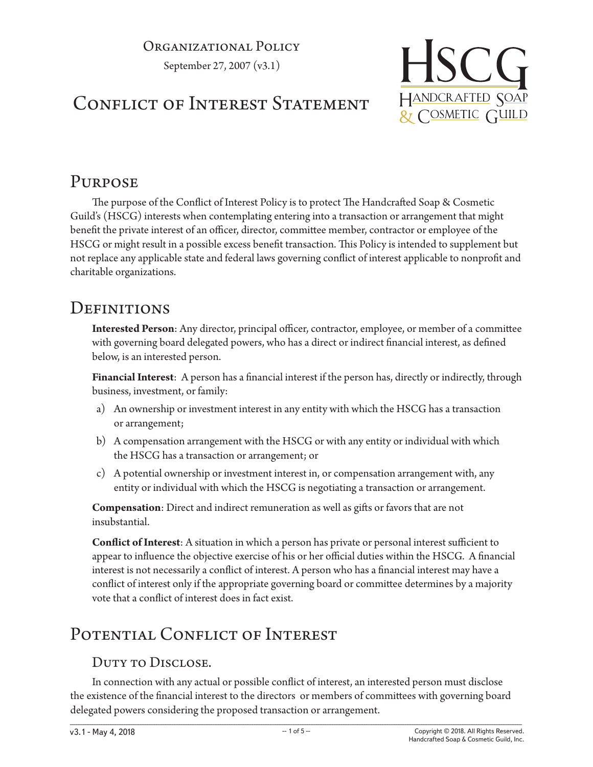#### Organizational Policy

September 27, 2007 (v3.1)

CONFLICT OF INTEREST STATEMENT

# HSCG HANDCRAFTED SOAP & COSMETIC GUILD

## **PURPOSE**

The purpose of the Conflict of Interest Policy is to protect The Handcrafted Soap & Cosmetic Guild's (HSCG) interests when contemplating entering into a transaction or arrangement that might benefit the private interest of an officer, director, committee member, contractor or employee of the HSCG or might result in a possible excess benefit transaction. This Policy is intended to supplement but not replace any applicable state and federal laws governing conflict of interest applicable to nonprofit and charitable organizations.

#### **DEFINITIONS**

**Interested Person**: Any director, principal officer, contractor, employee, or member of a committee with governing board delegated powers, who has a direct or indirect financial interest, as defined below, is an interested person.

**Financial Interest**: A person has a financial interest if the person has, directly or indirectly, through business, investment, or family:

- a) An ownership or investment interest in any entity with which the HSCG has a transaction or arrangement;
- b) A compensation arrangement with the HSCG or with any entity or individual with which the HSCG has a transaction or arrangement; or
- c) A potential ownership or investment interest in, or compensation arrangement with, any entity or individual with which the HSCG is negotiating a transaction or arrangement.

**Compensation**: Direct and indirect remuneration as well as gifts or favors that are not insubstantial.

**Conflict of Interest**: A situation in which a person has private or personal interest sufficient to appear to influence the objective exercise of his or her official duties within the HSCG. A financial interest is not necessarily a conflict of interest. A person who has a financial interest may have a conflict of interest only if the appropriate governing board or committee determines by a majority vote that a conflict of interest does in fact exist.

## POTENTIAL CONFLICT OF INTEREST

#### DUTY TO DISCLOSE.

In connection with any actual or possible conflict of interest, an interested person must disclose the existence of the financial interest to the directors or members of committees with governing board delegated powers considering the proposed transaction or arrangement.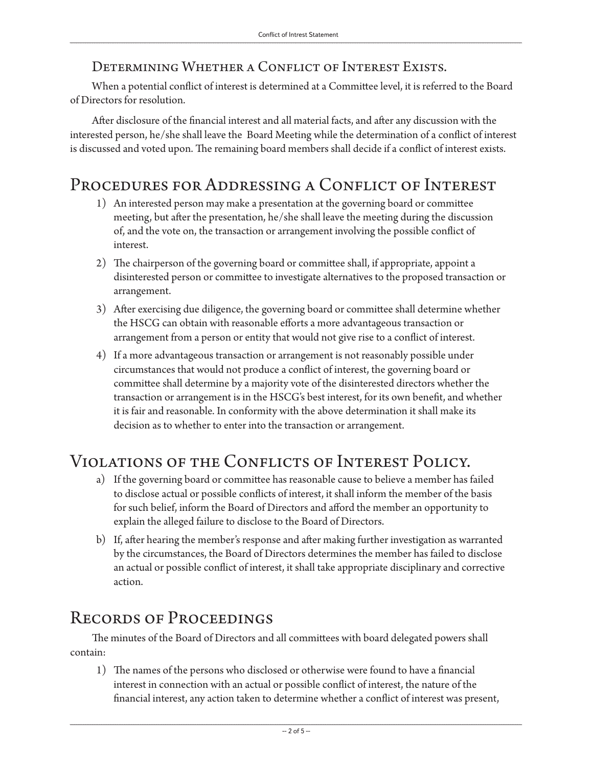#### Determining Whether a Conflict of Interest Exists.

When a potential conflict of interest is determined at a Committee level, it is referred to the Board of Directors for resolution.

After disclosure of the financial interest and all material facts, and after any discussion with the interested person, he/she shall leave the Board Meeting while the determination of a conflict of interest is discussed and voted upon. The remaining board members shall decide if a conflict of interest exists.

#### Procedures for Addressing a Conflict of Interest

- 1) An interested person may make a presentation at the governing board or committee meeting, but after the presentation, he/she shall leave the meeting during the discussion of, and the vote on, the transaction or arrangement involving the possible conflict of interest.
- 2) The chairperson of the governing board or committee shall, if appropriate, appoint a disinterested person or committee to investigate alternatives to the proposed transaction or arrangement.
- 3) After exercising due diligence, the governing board or committee shall determine whether the HSCG can obtain with reasonable efforts a more advantageous transaction or arrangement from a person or entity that would not give rise to a conflict of interest.
- 4) If a more advantageous transaction or arrangement is not reasonably possible under circumstances that would not produce a conflict of interest, the governing board or committee shall determine by a majority vote of the disinterested directors whether the transaction or arrangement is in the HSCG's best interest, for its own benefit, and whether it is fair and reasonable. In conformity with the above determination it shall make its decision as to whether to enter into the transaction or arrangement.

## Violations of the Conflicts of Interest Policy.

- a) If the governing board or committee has reasonable cause to believe a member has failed to disclose actual or possible conflicts of interest, it shall inform the member of the basis for such belief, inform the Board of Directors and afford the member an opportunity to explain the alleged failure to disclose to the Board of Directors.
- b) If, after hearing the member's response and after making further investigation as warranted by the circumstances, the Board of Directors determines the member has failed to disclose an actual or possible conflict of interest, it shall take appropriate disciplinary and corrective action.

#### Records of Proceedings

The minutes of the Board of Directors and all committees with board delegated powers shall contain:

1) The names of the persons who disclosed or otherwise were found to have a financial interest in connection with an actual or possible conflict of interest, the nature of the financial interest, any action taken to determine whether a conflict of interest was present,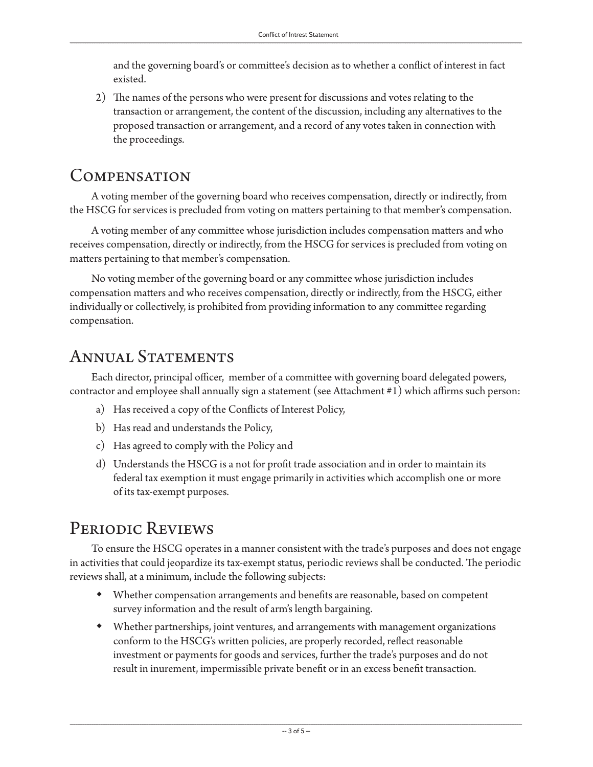and the governing board's or committee's decision as to whether a conflict of interest in fact existed.

2) The names of the persons who were present for discussions and votes relating to the transaction or arrangement, the content of the discussion, including any alternatives to the proposed transaction or arrangement, and a record of any votes taken in connection with the proceedings.

#### Compensation

A voting member of the governing board who receives compensation, directly or indirectly, from the HSCG for services is precluded from voting on matters pertaining to that member's compensation.

A voting member of any committee whose jurisdiction includes compensation matters and who receives compensation, directly or indirectly, from the HSCG for services is precluded from voting on matters pertaining to that member's compensation.

No voting member of the governing board or any committee whose jurisdiction includes compensation matters and who receives compensation, directly or indirectly, from the HSCG, either individually or collectively, is prohibited from providing information to any committee regarding compensation.

#### ANNUAL STATEMENTS

Each director, principal officer, member of a committee with governing board delegated powers, contractor and employee shall annually sign a statement (see Attachment #1) which affirms such person:

- a) Has received a copy of the Conflicts of Interest Policy,
- b) Has read and understands the Policy,
- c) Has agreed to comply with the Policy and
- d) Understands the HSCG is a not for profit trade association and in order to maintain its federal tax exemption it must engage primarily in activities which accomplish one or more of its tax-exempt purposes.

## Periodic Reviews

To ensure the HSCG operates in a manner consistent with the trade's purposes and does not engage in activities that could jeopardize its tax-exempt status, periodic reviews shall be conducted. The periodic reviews shall, at a minimum, include the following subjects:

- Whether compensation arrangements and benefits are reasonable, based on competent survey information and the result of arm's length bargaining.
- Whether partnerships, joint ventures, and arrangements with management organizations conform to the HSCG's written policies, are properly recorded, reflect reasonable investment or payments for goods and services, further the trade's purposes and do not result in inurement, impermissible private benefit or in an excess benefit transaction.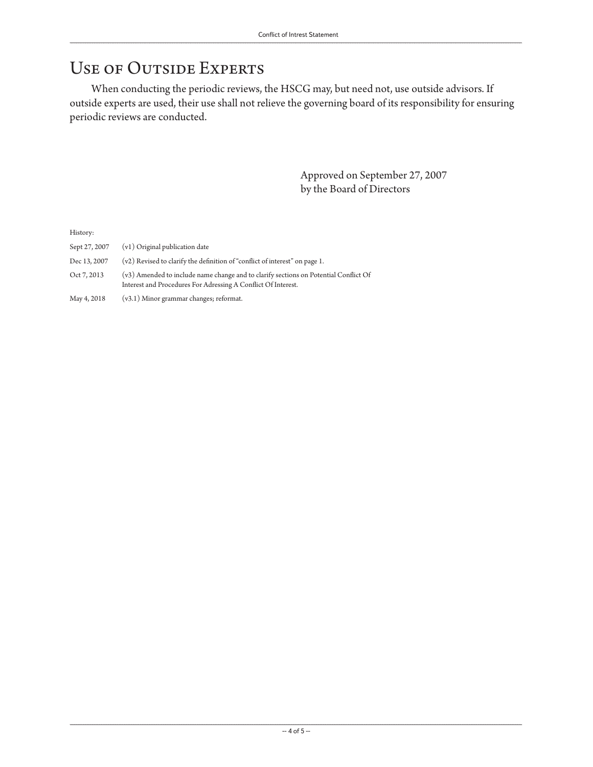#### Use of Outside Experts

When conducting the periodic reviews, the HSCG may, but need not, use outside advisors. If outside experts are used, their use shall not relieve the governing board of its responsibility for ensuring periodic reviews are conducted.

> Approved on September 27, 2007 by the Board of Directors

History:

- Sept 27, 2007 (v1) Original publication date
- Dec 13, 2007  $(v2)$  Revised to clarify the definition of "conflict of interest" on page 1.
- Oct 7, 2013 (v3) Amended to include name change and to clarify sections on Potential Conflict Of Interest and Procedures For Adressing A Conflict Of Interest.

May 4, 2018 (v3.1) Minor grammar changes; reformat.